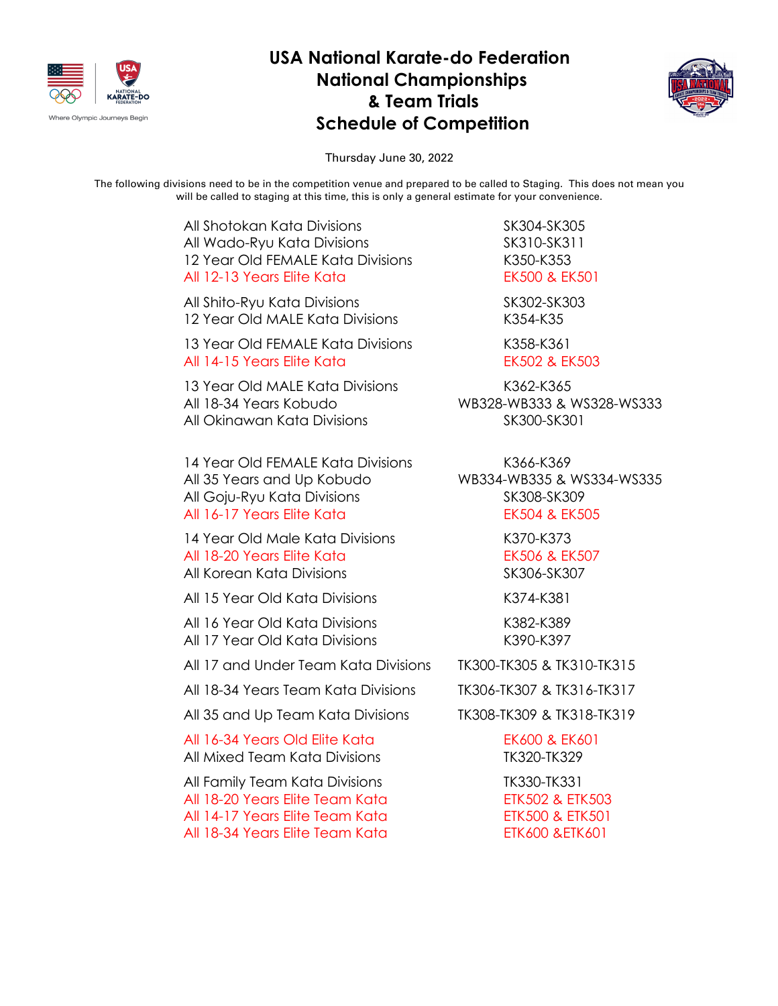

## **USA National Karate-do Federation National Championships & Team Trials Schedule of Competition**



Thursday June 30, 2022

The following divisions need to be in the competition venue and prepared to be called to Staging. This does not mean you will be called to staging at this time, this is only a general estimate for your convenience.

| All Shotokan Kata Divisions<br>All Wado-Ryu Kata Divisions<br>12 Year Old FEMALE Kata Divisions<br>All 12-13 Years Elite Kata           | SK304-SK305<br>SK310-SK311<br>K350-K353<br>EK500 & EK501                                             |
|-----------------------------------------------------------------------------------------------------------------------------------------|------------------------------------------------------------------------------------------------------|
| All Shito-Ryu Kata Divisions<br>12 Year Old MALE Kata Divisions                                                                         | SK302-SK303<br>K354-K35                                                                              |
| 13 Year Old FEMALE Kata Divisions<br>All 14-15 Years Elite Kata                                                                         | K358-K361<br>EK502 & EK503                                                                           |
| 13 Year Old MALE Kata Divisions<br>All 18-34 Years Kobudo<br>All Okinawan Kata Divisions                                                | K362-K365<br>WB328-WB333 & WS328-WS333<br>SK300-SK301                                                |
| 14 Year Old FEMALE Kata Divisions<br>All 35 Years and Up Kobudo<br>All Goju-Ryu Kata Divisions<br>All 16-17 Years Elite Kata            | K366-K369<br>WB334-WB335 & WS334-WS335<br>SK308-SK309<br>EK504 & EK505                               |
| 14 Year Old Male Kata Divisions<br>All 18-20 Years Elite Kata<br>All Korean Kata Divisions                                              | K370-K373<br>EK506 & EK507<br>SK306-SK307                                                            |
| All 15 Year Old Kata Divisions                                                                                                          | K374-K381                                                                                            |
| All 16 Year Old Kata Divisions<br>All 17 Year Old Kata Divisions                                                                        | K382-K389<br>K390-K397                                                                               |
| All 17 and Under Team Kata Divisions                                                                                                    | TK300-TK305 & TK310-TK315                                                                            |
| All 18-34 Years Team Kata Divisions                                                                                                     | TK306-TK307 & TK316-TK317                                                                            |
| All 35 and Up Team Kata Divisions                                                                                                       | TK308-TK309 & TK318-TK319                                                                            |
| All 16-34 Years Old Elite Kata<br>All Mixed Team Kata Divisions                                                                         | EK600 & EK601<br>TK320-TK329                                                                         |
| All Family Team Kata Divisions<br>All 18-20 Years Elite Team Kata<br>All 14-17 Years Elite Team Kata<br>All 18-34 Years Elite Team Kata | TK330-TK331<br><b>ETK502 &amp; ETK503</b><br><b>ETK500 &amp; ETK501</b><br><b>ETK600 &amp;ETK601</b> |
|                                                                                                                                         |                                                                                                      |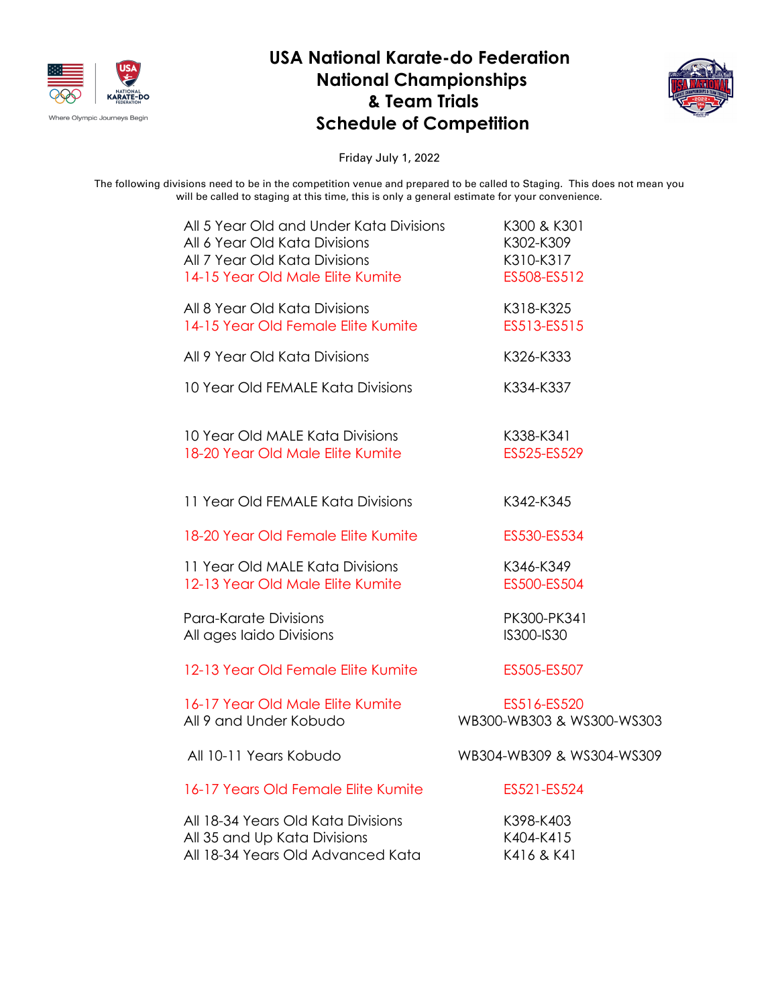

## **USA National Karate-do Federation National Championships & Team Trials Schedule of Competition**



Friday July 1, 2022

The following divisions need to be in the competition venue and prepared to be called to Staging. This does not mean you will be called to staging at this time, this is only a general estimate for your convenience.

| All 5 Year Old and Under Kata Divisions | K300 & K301               |
|-----------------------------------------|---------------------------|
| All 6 Year Old Kata Divisions           | K302-K309                 |
| All 7 Year Old Kata Divisions           | K310-K317                 |
| 14-15 Year Old Male Elite Kumite        | ES508-ES512               |
| All 8 Year Old Kata Divisions           | K318-K325                 |
| 14-15 Year Old Female Elite Kumite      | ES513-ES515               |
| All 9 Year Old Kata Divisions           | K326-K333                 |
| 10 Year Old FEMALE Kata Divisions       | K334-K337                 |
| 10 Year Old MALE Kata Divisions         | K338-K341                 |
| 18-20 Year Old Male Elite Kumite        | ES525-ES529               |
| 11 Year Old FEMALE Kata Divisions       | K342-K345                 |
| 18-20 Year Old Female Elite Kumite      | ES530-ES534               |
| 11 Year Old MALE Kata Divisions         | K346-K349                 |
| 12-13 Year Old Male Elite Kumite        | ES500-ES504               |
| Para-Karate Divisions                   | PK300-PK341               |
| All ages laido Divisions                | IS300-IS30                |
| 12-13 Year Old Female Elite Kumite      | ES505-ES507               |
| 16-17 Year Old Male Elite Kumite        | ES516-ES520               |
| All 9 and Under Kobudo                  | WB300-WB303 & WS300-WS303 |
| All 10-11 Years Kobudo                  | WB304-WB309 & WS304-WS309 |
| 16-17 Years Old Female Elite Kumite     | ES521-ES524               |
| All 18-34 Years Old Kata Divisions      | K398-K403                 |
| All 35 and Up Kata Divisions            | K404-K415                 |
| All 18-34 Years Old Advanced Kata       | K416 & K41                |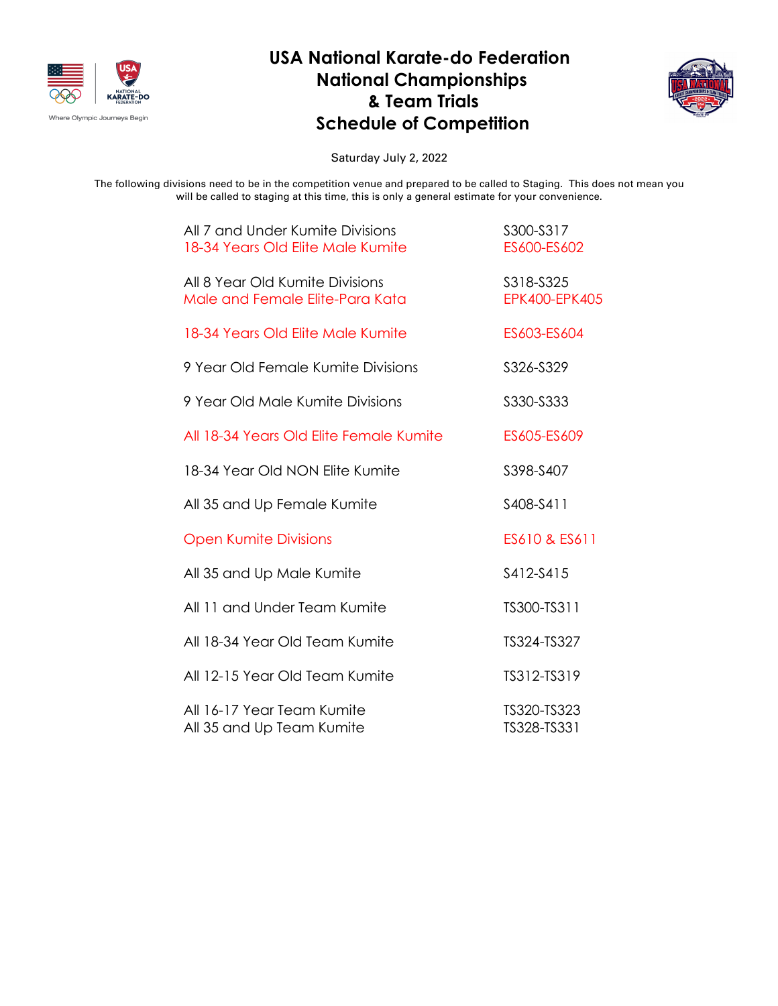

## **USA National Karate-do Federation National Championships & Team Trials Schedule of Competition**



Saturday July 2, 2022

The following divisions need to be in the competition venue and prepared to be called to Staging. This does not mean you will be called to staging at this time, this is only a general estimate for your convenience.

| All 7 and Under Kumite Divisions<br>18-34 Years Old Elite Male Kumite | S300-S317<br>ES600-ES602          |
|-----------------------------------------------------------------------|-----------------------------------|
| All 8 Year Old Kumite Divisions<br>Male and Female Elite-Para Kata    | S318-S325<br><b>EPK400-EPK405</b> |
| 18-34 Years Old Elite Male Kumite                                     | ES603-ES604                       |
| 9 Year Old Female Kumite Divisions                                    | S326-S329                         |
| 9 Year Old Male Kumite Divisions                                      | S330-S333                         |
| All 18-34 Years Old Elite Female Kumite                               | ES605-ES609                       |
| 18-34 Year Old NON Elite Kumite                                       | S398-S407                         |
| All 35 and Up Female Kumite                                           | S408-S411                         |
| <b>Open Kumite Divisions</b>                                          | ES610 & ES611                     |
| All 35 and Up Male Kumite                                             | S412-S415                         |
| All 11 and Under Team Kumite                                          | TS300-TS311                       |
| All 18-34 Year Old Team Kumite                                        | TS324-TS327                       |
| All 12-15 Year Old Team Kumite                                        | TS312-TS319                       |
| All 16-17 Year Team Kumite<br>All 35 and Up Team Kumite               | TS320-TS323<br>TS328-TS331        |